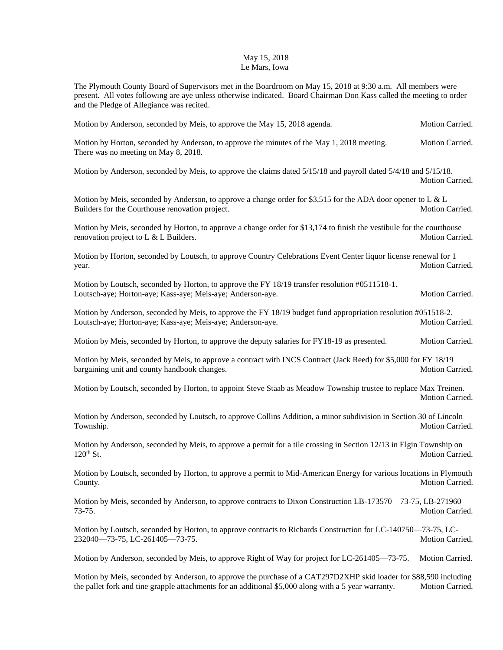## May 15, 2018 Le Mars, Iowa

The Plymouth County Board of Supervisors met in the Boardroom on May 15, 2018 at 9:30 a.m. All members were present. All votes following are aye unless otherwise indicated. Board Chairman Don Kass called the meeting to order and the Pledge of Allegiance was recited.

| Motion by Anderson, seconded by Meis, to approve the May 15, 2018 agenda.                                                                                                                                                 | Motion Carried.        |
|---------------------------------------------------------------------------------------------------------------------------------------------------------------------------------------------------------------------------|------------------------|
| Motion by Horton, seconded by Anderson, to approve the minutes of the May 1, 2018 meeting.<br>There was no meeting on May 8, 2018.                                                                                        | Motion Carried.        |
| Motion by Anderson, seconded by Meis, to approve the claims dated 5/15/18 and payroll dated 5/4/18 and 5/15/18.                                                                                                           | Motion Carried.        |
| Motion by Meis, seconded by Anderson, to approve a change order for \$3,515 for the ADA door opener to L & L<br>Builders for the Courthouse renovation project.                                                           | Motion Carried.        |
| Motion by Meis, seconded by Horton, to approve a change order for \$13,174 to finish the vestibule for the courthouse<br>renovation project to $L \& L$ Builders.                                                         | Motion Carried.        |
| Motion by Horton, seconded by Loutsch, to approve Country Celebrations Event Center liquor license renewal for 1<br>year.                                                                                                 | Motion Carried.        |
| Motion by Loutsch, seconded by Horton, to approve the FY 18/19 transfer resolution #0511518-1.<br>Loutsch-aye; Horton-aye; Kass-aye; Meis-aye; Anderson-aye.                                                              | Motion Carried.        |
| Motion by Anderson, seconded by Meis, to approve the FY 18/19 budget fund appropriation resolution #051518-2.<br>Loutsch-aye; Horton-aye; Kass-aye; Meis-aye; Anderson-aye.                                               | Motion Carried.        |
| Motion by Meis, seconded by Horton, to approve the deputy salaries for FY18-19 as presented.                                                                                                                              | Motion Carried.        |
| Motion by Meis, seconded by Meis, to approve a contract with INCS Contract (Jack Reed) for \$5,000 for FY 18/19<br>bargaining unit and county handbook changes.                                                           | Motion Carried.        |
| Motion by Loutsch, seconded by Horton, to appoint Steve Staab as Meadow Township trustee to replace Max Treinen.                                                                                                          | Motion Carried.        |
| Motion by Anderson, seconded by Loutsch, to approve Collins Addition, a minor subdivision in Section 30 of Lincoln<br>Township.                                                                                           | Motion Carried.        |
| Motion by Anderson, seconded by Meis, to approve a permit for a tile crossing in Section 12/13 in Elgin Township on<br>$120th$ St.                                                                                        | Motion Carried.        |
| Motion by Loutsch, seconded by Horton, to approve a permit to Mid-American Energy for various locations in Plymouth<br>County.                                                                                            | <b>Motion Carried.</b> |
| Motion by Meis, seconded by Anderson, to approve contracts to Dixon Construction LB-173570-73-75, LB-271960-<br>73-75.                                                                                                    | Motion Carried.        |
| Motion by Loutsch, seconded by Horton, to approve contracts to Richards Construction for LC-140750-73-75, LC-<br>232040-73-75, LC-261405-73-75.                                                                           | Motion Carried.        |
| Motion by Anderson, seconded by Meis, to approve Right of Way for project for LC-261405—73-75.                                                                                                                            | Motion Carried.        |
| Motion by Meis, seconded by Anderson, to approve the purchase of a CAT297D2XHP skid loader for \$88,590 including<br>the pallet fork and tine grapple attachments for an additional \$5,000 along with a 5 year warranty. | Motion Carried.        |
|                                                                                                                                                                                                                           |                        |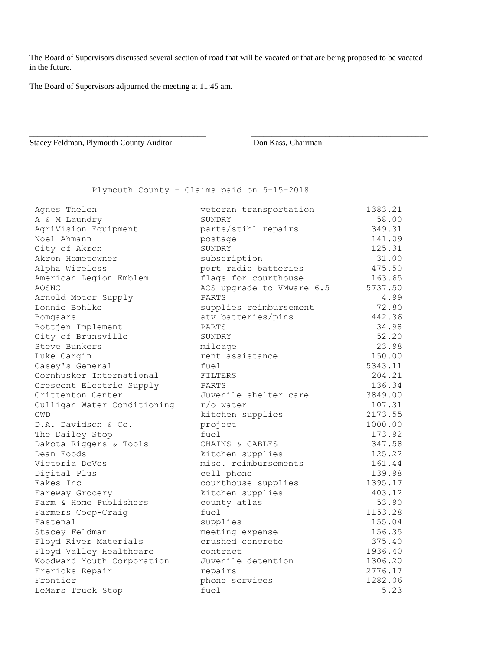The Board of Supervisors discussed several section of road that will be vacated or that are being proposed to be vacated in the future.

\_\_\_\_\_\_\_\_\_\_\_\_\_\_\_\_\_\_\_\_\_\_\_\_\_\_\_\_\_\_\_\_\_\_\_\_\_\_\_\_\_\_\_ \_\_\_\_\_\_\_\_\_\_\_\_\_\_\_\_\_\_\_\_\_\_\_\_\_\_\_\_\_\_\_\_\_\_\_\_\_\_\_\_\_\_\_

The Board of Supervisors adjourned the meeting at 11:45 am.

Stacey Feldman, Plymouth County Auditor Don Kass, Chairman

Plymouth County - Claims paid on 5-15-2018

| Agnes Thelen                | veteran transportation    | 1383.21 |
|-----------------------------|---------------------------|---------|
| A & M Laundry               | SUNDRY                    | 58.00   |
| AgriVision Equipment        | parts/stihl repairs       | 349.31  |
| Noel Ahmann                 | postage                   | 141.09  |
| City of Akron               | SUNDRY                    | 125.31  |
| Akron Hometowner            | subscription              | 31.00   |
| Alpha Wireless              | port radio batteries      | 475.50  |
| American Legion Emblem      | flags for courthouse      | 163.65  |
| AOSNC                       | AOS upgrade to VMware 6.5 | 5737.50 |
| Arnold Motor Supply         | PARTS                     | 4.99    |
| Lonnie Bohlke               | supplies reimbursement    | 72.80   |
| Bomgaars                    | atv batteries/pins        | 442.36  |
| Bottjen Implement           | PARTS                     | 34.98   |
| City of Brunsville          | SUNDRY                    | 52.20   |
| Steve Bunkers               | mileage                   | 23.98   |
| Luke Cargin                 | rent assistance           | 150.00  |
| Casey's General             | fuel                      | 5343.11 |
| Cornhusker International    | FILTERS                   | 204.21  |
| Crescent Electric Supply    | PARTS                     | 136.34  |
| Crittenton Center           | Juvenile shelter care     | 3849.00 |
| Culligan Water Conditioning | $r$ /o water              | 107.31  |
| <b>CWD</b>                  | kitchen supplies          | 2173.55 |
| D.A. Davidson & Co.         | project                   | 1000.00 |
| The Dailey Stop             | fuel                      | 173.92  |
| Dakota Riggers & Tools      | CHAINS & CABLES           | 347.58  |
| Dean Foods                  | kitchen supplies          | 125.22  |
| Victoria DeVos              | misc. reimbursements      | 161.44  |
| Digital Plus                | cell phone                | 139.98  |
| Eakes Inc                   | courthouse supplies       | 1395.17 |
| Fareway Grocery             | kitchen supplies          | 403.12  |
| Farm & Home Publishers      | county atlas              | 53.90   |
| Farmers Coop-Craig          | fuel                      | 1153.28 |
| Fastenal                    | supplies                  | 155.04  |
| Stacey Feldman              | meeting expense           | 156.35  |
| Floyd River Materials       | crushed concrete          | 375.40  |
| Floyd Valley Healthcare     | contract                  | 1936.40 |
| Woodward Youth Corporation  | Juvenile detention        | 1306.20 |
| Frericks Repair             | repairs                   | 2776.17 |
| Frontier                    | phone services            | 1282.06 |
| LeMars Truck Stop           | fuel                      | 5.23    |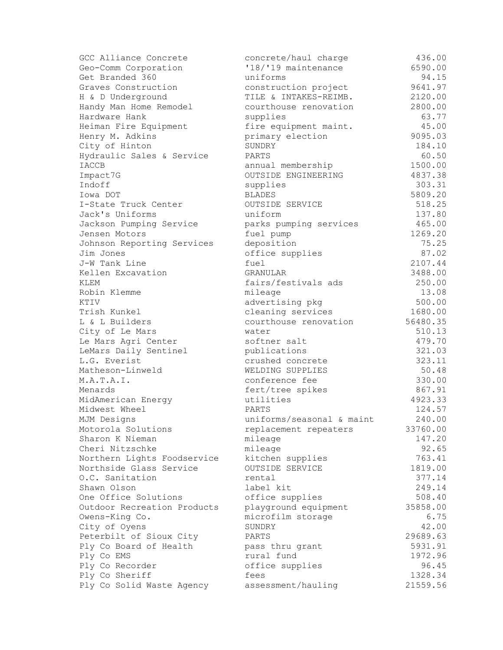| GCC Alliance Concrete       | concrete/haul charge      | 436.00   |
|-----------------------------|---------------------------|----------|
| Geo-Comm Corporation        | '18/'19 maintenance       | 6590.00  |
| Get Branded 360             | uniforms                  | 94.15    |
| Graves Construction         | construction project      | 9641.97  |
| H & D Underground           | TILE & INTAKES-REIMB.     | 2120.00  |
| Handy Man Home Remodel      | courthouse renovation     | 2800.00  |
| Hardware Hank               | supplies                  | 63.77    |
| Heiman Fire Equipment       | fire equipment maint.     | 45.00    |
| Henry M. Adkins             | primary election          | 9095.03  |
| City of Hinton              | SUNDRY                    | 184.10   |
| Hydraulic Sales & Service   | PARTS                     | 60.50    |
| <b>IACCB</b>                | annual membership         | 1500.00  |
| Impact7G                    | OUTSIDE ENGINEERING       | 4837.38  |
| Indoff                      | supplies                  | 303.31   |
| Iowa DOT                    | <b>BLADES</b>             | 5809.20  |
| I-State Truck Center        | OUTSIDE SERVICE           | 518.25   |
| Jack's Uniforms             | uniform                   | 137.80   |
| Jackson Pumping Service     | parks pumping services    | 465.00   |
| Jensen Motors               | fuel pump                 | 1269.20  |
| Johnson Reporting Services  | deposition                | 75.25    |
| Jim Jones                   | office supplies           | 87.02    |
| J-W Tank Line               | fuel                      | 2107.44  |
| Kellen Excavation           | GRANULAR                  | 3488.00  |
| KLEM                        | fairs/festivals ads       | 250.00   |
| Robin Klemme                | mileage                   | 13.08    |
| KTIV                        | advertising pkg           | 500.00   |
| Trish Kunkel                | cleaning services         | 1680.00  |
| L & L Builders              | courthouse renovation     | 56480.35 |
| City of Le Mars             | water                     | 510.13   |
| Le Mars Agri Center         | softner salt              | 479.70   |
| LeMars Daily Sentinel       | publications              | 321.03   |
| L.G. Everist                | crushed concrete          | 323.11   |
| Matheson-Linweld            | WELDING SUPPLIES          | 50.48    |
| M.A.T.A.I.                  | conference fee            | 330.00   |
| Menards                     | fert/tree spikes          | 867.91   |
| MidAmerican Energy          | utilities                 | 4923.33  |
| Midwest Wheel               | PARTS                     | 124.57   |
| MJM Designs                 | uniforms/seasonal & maint | 240.00   |
| Motorola Solutions          | replacement repeaters     | 33760.00 |
| Sharon K Nieman             | mileage                   | 147.20   |
| Cheri Nitzschke             | mileage                   | 92.65    |
| Northern Lights Foodservice | kitchen supplies          | 763.41   |
| Northside Glass Service     | OUTSIDE SERVICE           | 1819.00  |
| O.C. Sanitation             | rental                    | 377.14   |
| Shawn Olson                 | label kit                 | 249.14   |
| One Office Solutions        | office supplies           | 508.40   |
| Outdoor Recreation Products | playground equipment      | 35858.00 |
| Owens-King Co.              | microfilm storage         | 6.75     |
| City of Oyens               | SUNDRY                    | 42.00    |
| Peterbilt of Sioux City     | PARTS                     | 29689.63 |
| Ply Co Board of Health      | pass thru grant           | 5931.91  |
| Ply Co EMS                  | rural fund                | 1972.96  |
| Ply Co Recorder             | office supplies           | 96.45    |
| Ply Co Sheriff              | fees                      | 1328.34  |
| Ply Co Solid Waste Agency   | assessment/hauling        | 21559.56 |